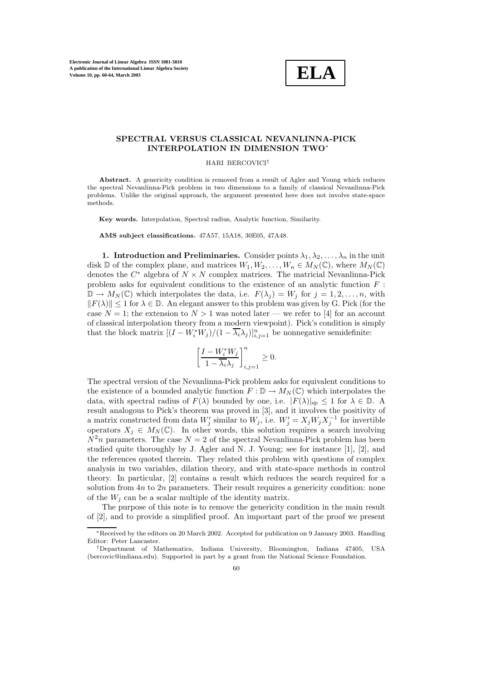**Electronic Journal of Linear Algebra ISSN 1081-3810 A publication of the International Linear Algebra Society Volume 10, pp. 60-64, March 2003**



## **SPECTRAL VERSUS CLASSICAL NEVANLINNA-PICK INTERPOLATION IN DIMENSION TWO**<sup>∗</sup>

HARI BERCOVICI†

**Abstract.** A genericity condition is removed from a result of Agler and Young which reduces the spectral Nevanlinna-Pick problem in two dimensions to a family of classical Nevanlinna-Pick problems. Unlike the original approach, the argument presented here does not involve state-space methods.

**Key words.** Interpolation, Spectral radius, Analytic function, Similarity.

**AMS subject classifications.** 47A57, 15A18, 30E05, 47A48.

**1. Introduction and Preliminaries.** Consider points  $\lambda_1, \lambda_2, \ldots, \lambda_n$  in the unit disk D of the complex plane, and matrices  $W_1, W_2, \ldots, W_n \in M_N(\mathbb{C})$ , where  $M_N(\mathbb{C})$ denotes the  $C^*$  algebra of  $N \times N$  complex matrices. The matricial Nevanlinna-Pick problem asks for equivalent conditions to the existence of an analytic function  $F$  :  $\mathbb{D} \to M_N(\mathbb{C})$  which interpolates the data, i.e.  $F(\lambda_j) = W_j$  for  $j = 1, 2, ..., n$ , with  $||F(\lambda)|| \leq 1$  for  $\lambda \in \mathbb{D}$ . An elegant answer to this problem was given by G. Pick (for the case  $N = 1$ ; the extension to  $N > 1$  was noted later — we refer to [4] for an account of classical interpolation theory from a modern viewpoint). Pick's condition is simply that the block matrix  $[(I - W_i^* W_j)/(1 - \overline{\lambda_i} \lambda_j)]_{i,j=1}^n$  be nonnegative semidefinite:

$$
\left[\frac{I-W_i^*W_j}{1-\overline{\lambda_i}\lambda_j}\right]_{i,j=1}^n\geq 0.
$$

The spectral version of the Nevanlinna-Pick problem asks for equivalent conditions to the existence of a bounded analytic function  $F : \mathbb{D} \to M_N(\mathbb{C})$  which interpolates the data, with spectral radius of  $F(\lambda)$  bounded by one, i.e.  $|F(\lambda)|_{\text{sp}} \leq 1$  for  $\lambda \in \mathbb{D}$ . A result analogous to Pick's theorem was proved in [3], and it involves the positivity of a matrix constructed from data  $W'_j$  similar to  $W_j$ , i.e.  $W'_j = X_j W_j X_j^{-1}$  for invertible operators  $X_j \in M_N(\mathbb{C})$ . In other words, this solution requires a search involving  $N^2n$  parameters. The case  $N = 2$  of the spectral Nevanlinna-Pick problem has been studied quite thoroughly by J. Agler and N. J. Young; see for instance [1], [2], and the references quoted therein. They related this problem with questions of complex analysis in two variables, dilation theory, and with state-space methods in control theory. In particular, [2] contains a result which reduces the search required for a solution from  $4n$  to  $2n$  parameters. Their result requires a genericity condition: none of the  $W_i$  can be a scalar multiple of the identity matrix.

The purpose of this note is to remove the genericity condition in the main result of [2], and to provide a simplified proof. An important part of the proof we present

<sup>∗</sup>Received by the editors on 20 March 2002. Accepted for publication on 9 January 2003. Handling Editor: Peter Lancaster.

<sup>†</sup>Department of Mathematics, Indiana University, Bloomington, Indiana 47405, USA (bercovic@indiana.edu). Supported in part by a grant from the National Science Foundation.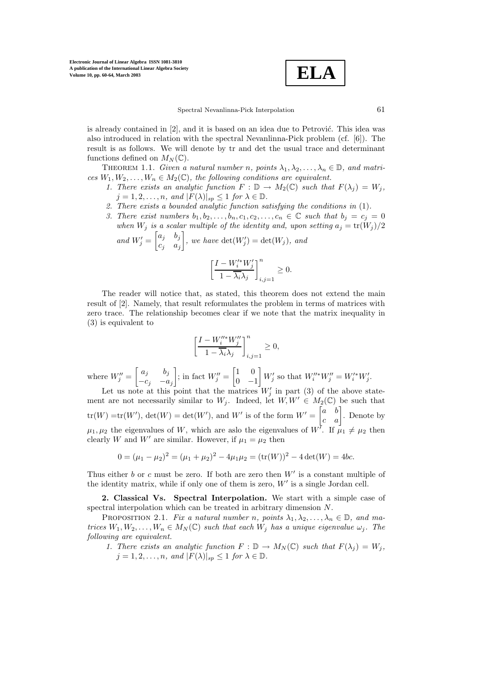**ELA**

is already contained in  $[2]$ , and it is based on an idea due to Petrović. This idea was also introduced in relation with the spectral Nevanlinna-Pick problem (cf. [6]). The result is as follows. We will denote by tr and det the usual trace and determinant functions defined on  $M_N(\mathbb{C})$ .

THEOREM 1.1. *Given a natural number n, points*  $\lambda_1, \lambda_2, \ldots, \lambda_n \in \mathbb{D}$ *, and matrices*  $W_1, W_2, \ldots, W_n \in M_2(\mathbb{C})$ *, the following conditions are equivalent.* 

- *1. There exists an analytic function*  $F : \mathbb{D} \to M_2(\mathbb{C})$  *such that*  $F(\lambda_i) = W_i$ *,*  $j = 1, 2, \ldots, n$ *, and*  $|F(\lambda)|_{sp} \leq 1$  *for*  $\lambda \in \mathbb{D}$ *.*
- *2. There exists a bounded analytic function satisfying the conditions in* (1)*.*
- *3. There exist numbers*  $b_1, b_2, \ldots, b_n, c_1, c_2, \ldots, c_n \in \mathbb{C}$  such that  $b_j = c_j = 0$ when  $W_j$  is a scalar multiple of the identity and, upon setting  $a_j = \text{tr}(W_j)/2$

and 
$$
W'_j = \begin{bmatrix} a_j & b_j \\ c_j & a_j \end{bmatrix}
$$
, we have  $det(W'_j) = det(W_j)$ , and  

$$
\left[ \frac{I - W'^*_{i} W'_j}{1 - \overline{\lambda_i} \lambda_j} \right]_{i,j=1}^n \ge 0.
$$

The reader will notice that, as stated, this theorem does not extend the main result of [2]. Namely, that result reformulates the problem in terms of matrices with zero trace. The relationship becomes clear if we note that the matrix inequality in (3) is equivalent to

$$
\left[\frac{I-W_i''^*W_j''}{1-\overline{\lambda_i}\lambda_j}\right]_{i,j=1}^n\geq 0,
$$

where  $W''_j = \begin{bmatrix} a_j & b_j \\ -c_j & -a_j \end{bmatrix}$  $-c_j$   $-a_j$ ; in fact  $W_j'' = \begin{bmatrix} 1 & 0 \\ 0 & -1 \end{bmatrix}$  $0 -1$  $W'_{j}$  so that  $W''_{i}W''_{j} = W'^*_{i}W'_{j}$ .

Let us note at this point that the matrices  $W'_j$  in part (3) of the above statement are not necessarily similar to  $W_j$ . Indeed, let  $W, W' \in M_2(\mathbb{C})$  be such that  $\text{tr}(W) = \text{tr}(W')$ ,  $\text{det}(W) = \text{det}(W')$ , and W' is of the form  $W' = \begin{bmatrix} a & b \\ c & a \end{bmatrix}$ . Denote by  $\mu_1, \mu_2$  the eigenvalues of W, which are aslo the eigenvalues of W<sup>7</sup>. If  $\mu_1 \neq \mu_2$  then clearly W and W' are similar. However, if  $\mu_1 = \mu_2$  then

$$
0 = (\mu_1 - \mu_2)^2 = (\mu_1 + \mu_2)^2 - 4\mu_1\mu_2 = (\text{tr}(W))^2 - 4\det(W) = 4bc.
$$

Thus either  $b$  or  $c$  must be zero. If both are zero then  $W'$  is a constant multiple of the identity matrix, while if only one of them is zero,  $W'$  is a single Jordan cell.

**2. Classical Vs. Spectral Interpolation.** We start with a simple case of spectral interpolation which can be treated in arbitrary dimension N.

PROPOSITION 2.1. *Fix a natural number n, points*  $\lambda_1, \lambda_2, ..., \lambda_n \in \mathbb{D}$ *, and matrices*  $W_1, W_2, \ldots, W_n \in M_N(\mathbb{C})$  *such that each*  $W_j$  *has a unique eigenvalue*  $\omega_j$ *. The following are equivalent.*

*1. There exists an analytic function*  $F : \mathbb{D} \to M_N(\mathbb{C})$  *such that*  $F(\lambda_j) = W_j$ ,  $j = 1, 2, \ldots, n$ *, and*  $|F(\lambda)|_{sp} \leq 1$  *for*  $\lambda \in \mathbb{D}$ *.*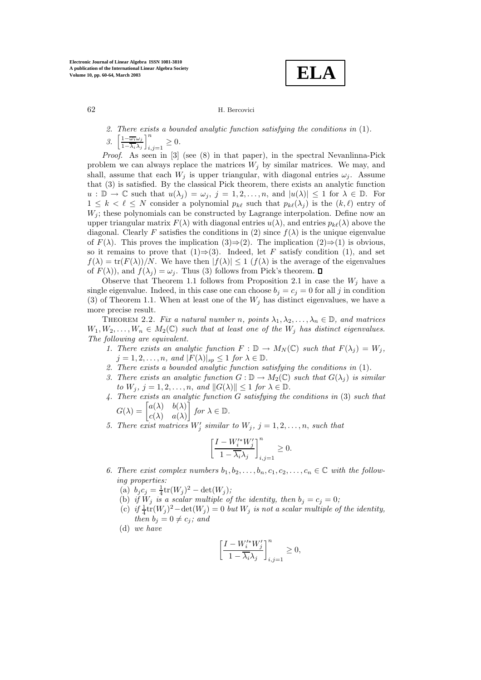**ELA**

## 62 H. Bercovici

*2. There exists a bounded analytic function satisfying the conditions in* (1)*. 3.* 1−ω*i*ω*<sup>j</sup>* 1−λ*i*λ*<sup>j</sup>*  $\left\lfloor n \right\rfloor$  $_{i,j=1} \geq 0.$ 

*Proof*. As seen in [3] (see (8) in that paper), in the spectral Nevanlinna-Pick problem we can always replace the matrices  $W_j$  by similar matrices. We may, and shall, assume that each  $W_j$  is upper triangular, with diagonal entries  $\omega_j$ . Assume that (3) is satisfied. By the classical Pick theorem, there exists an analytic function  $u : \mathbb{D} \to \mathbb{C}$  such that  $u(\lambda_j) = \omega_j$ ,  $j = 1, 2, ..., n$ , and  $|u(\lambda)| \leq 1$  for  $\lambda \in \mathbb{D}$ . For  $1 \leq k < \ell \leq N$  consider a polynomial  $p_{k\ell}$  such that  $p_{k\ell}(\lambda_j)$  is the  $(k, \ell)$  entry of  $W_j$ ; these polynomials can be constructed by Lagrange interpolation. Define now an upper triangular matrix  $F(\lambda)$  with diagonal entries  $u(\lambda)$ , and entries  $p_{k\ell}(\lambda)$  above the diagonal. Clearly F satisfies the conditions in (2) since  $f(\lambda)$  is the unique eigenvalue of  $F(\lambda)$ . This proves the implication  $(3) \Rightarrow (2)$ . The implication  $(2) \Rightarrow (1)$  is obvious, so it remains to prove that (1)⇒(3). Indeed, let F satisfy condition (1), and set  $f(\lambda) = \text{tr}(F(\lambda))/N$ . We have then  $|f(\lambda)| \leq 1$   $(f(\lambda))$  is the average of the eigenvalues of  $F(\lambda)$ , and  $f(\lambda_i) = \omega_i$ . Thus (3) follows from Pick's theorem.  $\Box$ 

Observe that Theorem 1.1 follows from Proposition 2.1 in case the  $W_j$  have a single eigenvalue. Indeed, in this case one can choose  $b_j = c_j = 0$  for all j in condition (3) of Theorem 1.1. When at least one of the  $W_j$  has distinct eigenvalues, we have a more precise result.

THEOREM 2.2. *Fix a natural number n, points*  $\lambda_1, \lambda_2, ..., \lambda_n \in \mathbb{D}$ *, and matrices*  $W_1, W_2, \ldots, W_n \in M_2(\mathbb{C})$  such that at least one of the  $W_j$  has distinct eigenvalues. *The following are equivalent.*

- *1. There exists an analytic function*  $F : \mathbb{D} \to M_N(\mathbb{C})$  *such that*  $F(\lambda_j) = W_j$ ,  $j = 1, 2, \ldots, n$ *, and*  $|F(\lambda)|_{sp} \leq 1$  *for*  $\lambda \in \mathbb{D}$ *.*
- *2. There exists a bounded analytic function satisfying the conditions in* (1)*.*
- *3. There exists an analytic function*  $G : \mathbb{D} \to M_2(\mathbb{C})$  *such that*  $G(\lambda_i)$  *is similar to*  $W_i$ ,  $j = 1, 2, \ldots, n$ , and  $||G(\lambda)|| \leq 1$  *for*  $\lambda \in \mathbb{D}$ .
- *4. There exists an analytic function* G *satisfying the conditions in* (3) *such that*  $G(\lambda) = \begin{bmatrix} a(\lambda) & b(\lambda) \\ c(\lambda) & a(\lambda) \end{bmatrix}$  for  $\lambda \in \mathbb{D}$ .

$$
G(\lambda) = \begin{bmatrix} c(\lambda) & c(\lambda) \\ c(\lambda) & a(\lambda) \end{bmatrix} \text{ for } \lambda \in \mathbb{D}
$$
  
There exist matrices W' equivalently

5. There exist matrices  $W'_j$  similar to  $W_j$ ,  $j = 1, 2, ..., n$ , such that

$$
\left[\frac{I-W_i^{\prime*}W_j'}{1-\overline{\lambda_i}\lambda_j}\right]_{i,j=1}^n\geq 0.
$$

- 6. There exist complex numbers  $b_1, b_2, \ldots, b_n, c_1, c_2, \ldots, c_n \in \mathbb{C}$  with the follow*ing properties:*
	- (a)  $b_j c_j = \frac{1}{4} \text{tr}(W_j)^2 \text{det}(W_j)$ ;
	- (b) *if*  $W_i$  *is a scalar multiple of the identity, then*  $b_i = c_i = 0$ ;
	- (c)  $if \frac{1}{4}$ tr $(W_j)^2$   $\det(W_j) = 0$  *but*  $W_j$  *is not a scalar multiple of the identity, then*  $b_j = 0 \neq c_j$ *;* and
	- (d) *we have*

$$
\left[\frac{I-W_i^{\prime*}W_j'}{1-\overline{\lambda_i}\lambda_j}\right]_{i,j=1}^n\geq 0,
$$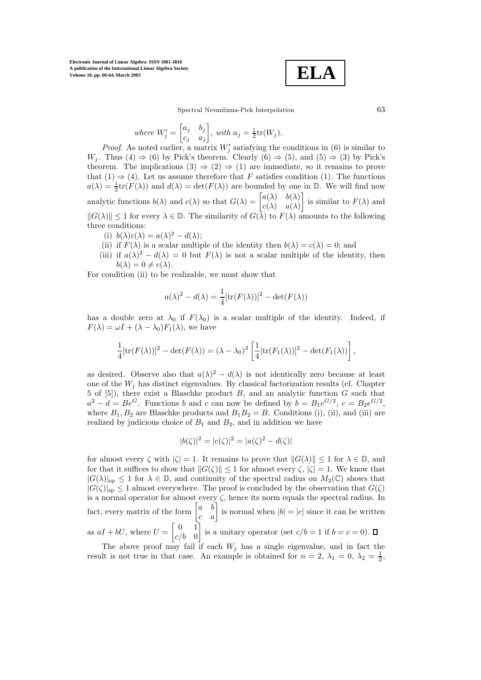**Electronic Journal of Linear Algebra ISSN 1081-3810 A publication of the International Linear Algebra Society Volume 10, pp. 60-64, March 2003**

$$
\boxed{\textbf{ELA}}
$$

Spectral Nevanlinna-Pick Interpolation 63

where 
$$
W'_j = \begin{bmatrix} a_j & b_j \\ c_j & a_j \end{bmatrix}
$$
, with  $a_j = \frac{1}{2}tr(W_j)$ .

*Proof.* As noted earlier, a matrix  $W'_j$  satisfying the conditions in (6) is similar to W<sub>j</sub>. Thus (4)  $\Rightarrow$  (6) by Pick's theorem. Clearly (6)  $\Rightarrow$  (5), and (5)  $\Rightarrow$  (3) by Pick's theorem. The implications  $(3) \Rightarrow (2) \Rightarrow (1)$  are immediate, so it remains to prove that  $(1) \Rightarrow (4)$ . Let us assume therefore that F satisfies condition (1). The functions  $a(\lambda) = \frac{1}{2} \text{tr}(F(\lambda))$  and  $d(\lambda) = \text{det}(F(\lambda))$  are bounded by one in  $\mathbb{D}$ . We will find now analytic functions  $b(\lambda)$  and  $c(\lambda)$  so that  $G(\lambda) = \begin{bmatrix} a(\lambda) & b(\lambda) \\ c(\lambda) & c(\lambda) \end{bmatrix}$  $c(\lambda)$   $a(\lambda)$ is similar to  $F(\lambda)$  and  $||G(\lambda)|| \leq 1$  for every  $\lambda \in \mathbb{D}$ . The similarity of  $G(\lambda)$  to  $F(\lambda)$  amounts to the following three conditions:

- (i)  $b(\lambda)c(\lambda) = a(\lambda)^2 d(\lambda);$
- (ii) if  $F(\lambda)$  is a scalar multiple of the identity then  $b(\lambda) = c(\lambda) = 0$ ; and
- (iii) if  $a(\lambda)^2 d(\lambda) = 0$  but  $F(\lambda)$  is not a scalar multiple of the identity, then  $b(\lambda)=0 \neq c(\lambda)$ .

For condition (ii) to be realizable, we must show that

$$
a(\lambda)^{2} - d(\lambda) = \frac{1}{4} [\text{tr}(F(\lambda))]^{2} - \det(F(\lambda))
$$

has a double zero at  $\lambda_0$  if  $F(\lambda_0)$  is a scalar multiple of the identity. Indeed, if  $F(\lambda) = \omega I + (\lambda - \lambda_0) F_1(\lambda)$ , we have

$$
\frac{1}{4}[\text{tr}(F(\lambda))]^2 - \det(F(\lambda)) = (\lambda - \lambda_0)^2 \left[ \frac{1}{4} [\text{tr}(F_1(\lambda))]^2 - \det(F_1(\lambda)) \right],
$$

as desired. Observe also that  $a(\lambda)^2 - d(\lambda)$  is not identically zero because at least one of the  $W_i$  has distinct eigenvalues. By classical factorization results (cf. Chapter 5 of [5]), there exist a Blaschke product  $B$ , and an analytic function  $G$  such that  $a^2 - d = Be^G$ . Functions b and c can now be defined by  $b = B_1e^{G/2}$ ,  $c = B_2e^{G/2}$ , where  $B_1, B_2$  are Blaschke products and  $B_1B_2 = B$ . Conditions (i), (ii), and (iii) are realized by judicious choice of  $B_1$  and  $B_2$ , and in addition we have

$$
|b(\zeta)|^2 = |c(\zeta)|^2 = |a(\zeta)|^2 - d(\zeta)|
$$

for almost every  $\zeta$  with  $|\zeta| = 1$ . It remains to prove that  $||G(\lambda)|| \leq 1$  for  $\lambda \in \mathbb{D}$ , and for that it suffices to show that  $||G(\zeta)|| \leq 1$  for almost every  $\zeta$ ,  $|\zeta| = 1$ . We know that  $|G(\lambda)|_{\text{sp}} \leq 1$  for  $\lambda \in \mathbb{D}$ , and continuity of the spectral radius on  $M_2(\mathbb{C})$  shows that  $|G(\zeta)|_{\text{sp}} \leq 1$  almost everywhere. The proof is concluded by the observation that  $G(\zeta)$ is a normal operator for almost every  $\zeta$ , hence its norm equals the spectral radius. In fact, every matrix of the form  $\begin{bmatrix} a & b \\ c & a \end{bmatrix}$  is normal when  $|b| = |c|$  since it can be written as  $aI + bU$ , where  $U = \begin{bmatrix} 0 & 1 \\ 0 & 0 \end{bmatrix}$  $c/b$  0 is a unitary operator (set  $c/b = 1$  if  $b = c = 0$ ).

The above proof may fail if each  $W_j$  has a single eigenvalue, and in fact the result is not true in that case. An example is obtained for  $n = 2$ ,  $\lambda_1 = 0$ ,  $\lambda_2 = \frac{1}{2}$ ,